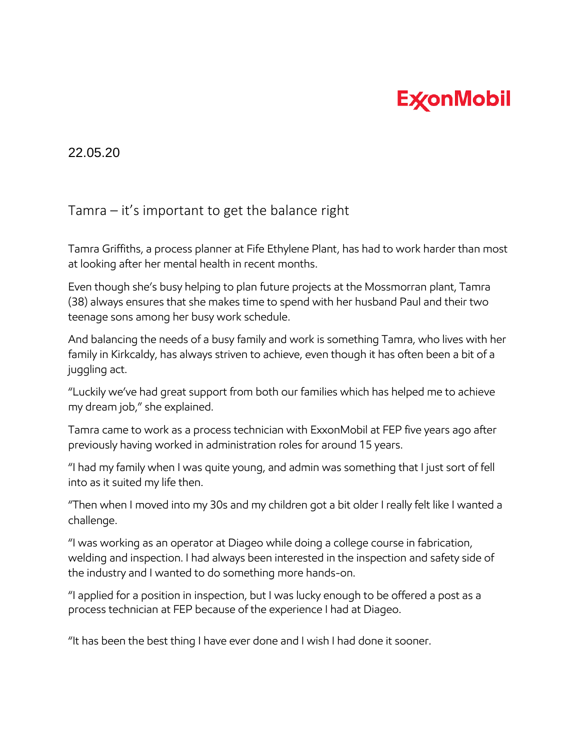## **ExconMobil**

22.05.20

## Tamra – it's important to get the balance right

Tamra Griffiths, a process planner at Fife Ethylene Plant, has had to work harder than most at looking after her mental health in recent months.

Even though she's busy helping to plan future projects at the Mossmorran plant, Tamra (38) always ensures that she makes time to spend with her husband Paul and their two teenage sons among her busy work schedule.

And balancing the needs of a busy family and work is something Tamra, who lives with her family in Kirkcaldy, has always striven to achieve, even though it has often been a bit of a juggling act.

"Luckily we've had great support from both our families which has helped me to achieve my dream job," she explained.

Tamra came to work as a process technician with ExxonMobil at FEP five years ago after previously having worked in administration roles for around 15 years.

"I had my family when I was quite young, and admin was something that I just sort of fell into as it suited my life then.

"Then when I moved into my 30s and my children got a bit older I really felt like I wanted a challenge.

"I was working as an operator at Diageo while doing a college course in fabrication, welding and inspection. I had always been interested in the inspection and safety side of the industry and I wanted to do something more hands-on.

"I applied for a position in inspection, but I was lucky enough to be offered a post as a process technician at FEP because of the experience I had at Diageo.

"It has been the best thing I have ever done and I wish I had done it sooner.